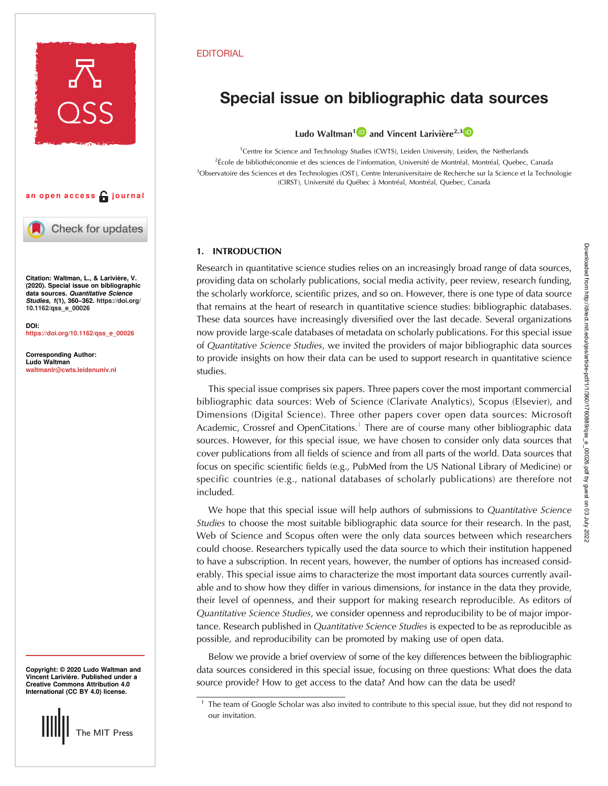#### **FDITORIAL**

# Special issue on bibliographic data sources

## Ludo Waltman<sup>1</sup><sup>1</sup> and Vincent Larivière<sup>2,[3](https://orcid.org/0000-0002-2733-0689)</sup><sup>1</sup>

<sup>1</sup>Centre for Science and Technology Studies (CWTS), Leiden University, Leiden, the Netherlands 2 École de bibliothéconomie et des sciences de l'information, Université de Montréal, Montréal, Quebec, Canada 3 Observatoire des Sciences et des Technologies (OST), Centre Interuniversitaire de Recherche sur la Science et la Technologie (CIRST), Université du Québec à Montréal, Montréal, Quebec, Canada

#### 1. INTRODUCTION

Research in quantitative science studies relies on an increasingly broad range of data sources, providing data on scholarly publications, social media activity, peer review, research funding, the scholarly workforce, scientific prizes, and so on. However, there is one type of data source that remains at the heart of research in quantitative science studies: bibliographic databases. These data sources have increasingly diversified over the last decade. Several organizations now provide large-scale databases of metadata on scholarly publications. For this special issue of Quantitative Science Studies, we invited the providers of major bibliographic data sources to provide insights on how their data can be used to support research in quantitative science studies.

This special issue comprises six papers. Three papers cover the most important commercial bibliographic data sources: Web of Science (Clarivate Analytics), Scopus (Elsevier), and Dimensions (Digital Science). Three other papers cover open data sources: Microsoft Academic, Crossref and OpenCitations.<sup>1</sup> There are of course many other bibliographic data sources. However, for this special issue, we have chosen to consider only data sources that cover publications from all fields of science and from all parts of the world. Data sources that focus on specific scientific fields (e.g., PubMed from the US National Library of Medicine) or specific countries (e.g., national databases of scholarly publications) are therefore not included.

We hope that this special issue will help authors of submissions to Quantitative Science Studies to choose the most suitable bibliographic data source for their research. In the past, Web of Science and Scopus often were the only data sources between which researchers could choose. Researchers typically used the data source to which their institution happened to have a subscription. In recent years, however, the number of options has increased considerably. This special issue aims to characterize the most important data sources currently available and to show how they differ in various dimensions, for instance in the data they provide, their level of openness, and their support for making research reproducible. As editors of Quantitative Science Studies, we consider openness and reproducibility to be of major importance. Research published in Quantitative Science Studies is expected to be as reproducible as possible, and reproducibility can be promoted by making use of open data.

Below we provide a brief overview of some of the key differences between the bibliographic data sources considered in this special issue, focusing on three questions: What does the data source provide? How to get access to the data? And how can the data be used?

Citation: Waltman, L., & Larivière, V.

Check for updates

an open access  $\bigcap$  journal

(2020). Special issue on bibliographic data sources. Quantitative Science Studies, 1(1), 360–362. [https://doi.org/](https://doi.org/10.1162/qss_e_00026) [10.1162/qss\\_e\\_00026](https://doi.org/10.1162/qss_e_00026)

DOI: [https://doi.org/10.1162/qss\\_e\\_00026](https://doi.org/10.1162/qss_e_00026)

Corresponding Author: Ludo Waltman [waltmanlr@cwts.leidenuniv.nl](mailto:waltmanlr@cwts.leidenuniv.nl)

Copyright: © 2020 Ludo Waltman and Vincent Larivière. Published under a Creative Commons Attribution 4.0 International (CC BY 4.0) license.



<sup>&</sup>lt;sup>1</sup> The team of Google Scholar was also invited to contribute to this special issue, but they did not respond to our invitation.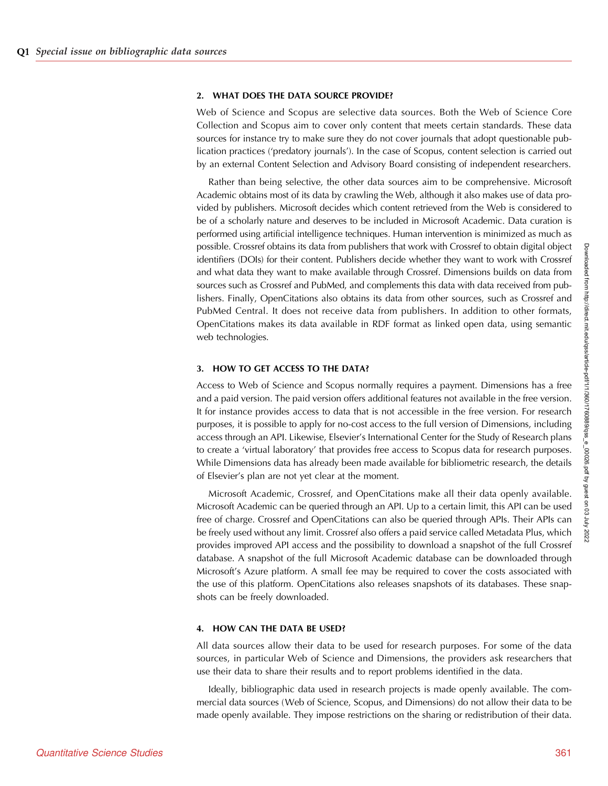#### 2. WHAT DOES THE DATA SOURCE PROVIDE?

Web of Science and Scopus are selective data sources. Both the Web of Science Core Collection and Scopus aim to cover only content that meets certain standards. These data sources for instance try to make sure they do not cover journals that adopt questionable publication practices ('predatory journals'). In the case of Scopus, content selection is carried out by an external Content Selection and Advisory Board consisting of independent researchers.

Rather than being selective, the other data sources aim to be comprehensive. Microsoft Academic obtains most of its data by crawling the Web, although it also makes use of data provided by publishers. Microsoft decides which content retrieved from the Web is considered to be of a scholarly nature and deserves to be included in Microsoft Academic. Data curation is performed using artificial intelligence techniques. Human intervention is minimized as much as possible. Crossref obtains its data from publishers that work with Crossref to obtain digital object identifiers (DOIs) for their content. Publishers decide whether they want to work with Crossref and what data they want to make available through Crossref. Dimensions builds on data from sources such as Crossref and PubMed, and complements this data with data received from publishers. Finally, OpenCitations also obtains its data from other sources, such as Crossref and PubMed Central. It does not receive data from publishers. In addition to other formats, OpenCitations makes its data available in RDF format as linked open data, using semantic web technologies.

#### 3. HOW TO GET ACCESS TO THE DATA?

Access to Web of Science and Scopus normally requires a payment. Dimensions has a free and a paid version. The paid version offers additional features not available in the free version. It for instance provides access to data that is not accessible in the free version. For research purposes, it is possible to apply for no-cost access to the full version of Dimensions, including access through an API. Likewise, Elsevier's International Center for the Study of Research plans to create a 'virtual laboratory' that provides free access to Scopus data for research purposes. While Dimensions data has already been made available for bibliometric research, the details of Elsevier's plan are not yet clear at the moment.

Microsoft Academic, Crossref, and OpenCitations make all their data openly available. Microsoft Academic can be queried through an API. Up to a certain limit, this API can be used free of charge. Crossref and OpenCitations can also be queried through APIs. Their APIs can be freely used without any limit. Crossref also offers a paid service called Metadata Plus, which provides improved API access and the possibility to download a snapshot of the full Crossref database. A snapshot of the full Microsoft Academic database can be downloaded through Microsoft's Azure platform. A small fee may be required to cover the costs associated with the use of this platform. OpenCitations also releases snapshots of its databases. These snapshots can be freely downloaded.

#### 4. HOW CAN THE DATA BE USED?

All data sources allow their data to be used for research purposes. For some of the data sources, in particular Web of Science and Dimensions, the providers ask researchers that use their data to share their results and to report problems identified in the data.

Ideally, bibliographic data used in research projects is made openly available. The commercial data sources (Web of Science, Scopus, and Dimensions) do not allow their data to be made openly available. They impose restrictions on the sharing or redistribution of their data.